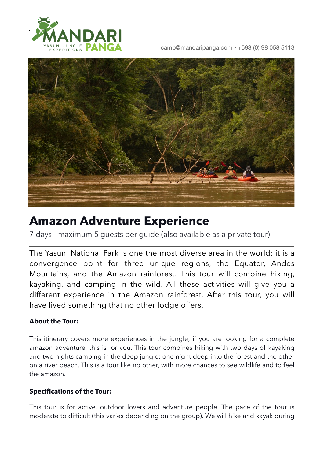

[camp@mandaripanga.com](mailto:camp@mandaripanga.com) • +593 (0) 98 058 5113



# **Amazon Adventure Experience**

7 days - maximum 5 guests per guide (also available as a private tour)

The Yasuni National Park is one the most diverse area in the world; it is a convergence point for three unique regions, the Equator, Andes Mountains, and the Amazon rainforest. This tour will combine hiking, kayaking, and camping in the wild. All these activities will give you a different experience in the Amazon rainforest. After this tour, you will have lived something that no other lodge offers.

## **About the Tour:**

This itinerary covers more experiences in the jungle; if you are looking for a complete amazon adventure, this is for you. This tour combines hiking with two days of kayaking and two nights camping in the deep jungle: one night deep into the forest and the other on a river beach. This is a tour like no other, with more chances to see wildlife and to feel the amazon.

## **Specifications of the Tour:**

This tour is for active, outdoor lovers and adventure people. The pace of the tour is moderate to difficult (this varies depending on the group). We will hike and kayak during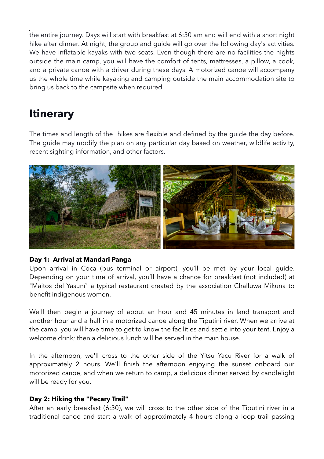the entire journey. Days will start with breakfast at 6:30 am and will end with a short night hike after dinner. At night, the group and guide will go over the following day's activities. We have inflatable kayaks with two seats. Even though there are no facilities the nights outside the main camp, you will have the comfort of tents, mattresses, a pillow, a cook, and a private canoe with a driver during these days. A motorized canoe will accompany us the whole time while kayaking and camping outside the main accommodation site to bring us back to the campsite when required.

## **Itinerary**

The times and length of the hikes are flexible and defined by the guide the day before. The guide may modify the plan on any particular day based on weather, wildlife activity, recent sighting information, and other factors.



#### **Day 1: Arrival at Mandari Panga**

Upon arrival in Coca (bus terminal or airport), you'll be met by your local guide. Depending on your time of arrival, you'll have a chance for breakfast (not included) at "Maitos del Yasuní" a typical restaurant created by the association Challuwa Mikuna to benefit indigenous women.

We'll then begin a journey of about an hour and 45 minutes in land transport and another hour and a half in a motorized canoe along the Tiputini river. When we arrive at the camp, you will have time to get to know the facilities and settle into your tent. Enjoy a welcome drink; then a delicious lunch will be served in the main house.

In the afternoon, we'll cross to the other side of the Yitsu Yacu River for a walk of approximately 2 hours. We'll finish the afternoon enjoying the sunset onboard our motorized canoe, and when we return to camp, a delicious dinner served by candlelight will be ready for you.

#### **Day 2: Hiking the "Pecary Trail"**

After an early breakfast (6:30), we will cross to the other side of the Tiputini river in a traditional canoe and start a walk of approximately 4 hours along a loop trail passing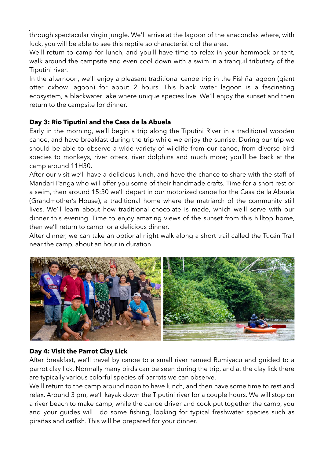through spectacular virgin jungle. We'll arrive at the lagoon of the anacondas where, with luck, you will be able to see this reptile so characteristic of the area.

We'll return to camp for lunch, and you'll have time to relax in your hammock or tent, walk around the campsite and even cool down with a swim in a tranquil tributary of the Tiputini river.

In the afternoon, we'll enjoy a pleasant traditional canoe trip in the Pishña lagoon (giant otter oxbow lagoon) for about 2 hours. This black water lagoon is a fascinating ecosystem, a blackwater lake where unique species live. We'll enjoy the sunset and then return to the campsite for dinner.

## **Day 3: Rio Tiputini and the Casa de la Abuela**

Early in the morning, we'll begin a trip along the Tiputini River in a traditional wooden canoe, and have breakfast during the trip while we enjoy the sunrise. During our trip we should be able to observe a wide variety of wildlife from our canoe, from diverse bird species to monkeys, river otters, river dolphins and much more; you'll be back at the camp around 11H30.

After our visit we'll have a delicious lunch, and have the chance to share with the staff of Mandari Panga who will offer you some of their handmade crafts. Time for a short rest or a swim, then around 15:30 we'll depart in our motorized canoe for the Casa de la Abuela (Grandmother's House), a traditional home where the matriarch of the community still lives. We'll learn about how traditional chocolate is made, which we'll serve with our dinner this evening. Time to enjoy amazing views of the sunset from this hilltop home, then we'll return to camp for a delicious dinner.

After dinner, we can take an optional night walk along a short trail called the Tucán Trail near the camp, about an hour in duration.



## **Day 4: Visit the Parrot Clay Lick**

After breakfast, we'll travel by canoe to a small river named Rumiyacu and guided to a parrot clay lick. Normally many birds can be seen during the trip, and at the clay lick there are typically various colorful species of parrots we can observe.

We'll return to the camp around noon to have lunch, and then have some time to rest and relax. Around 3 pm, we'll kayak down the Tiputini river for a couple hours. We will stop on a river beach to make camp, while the canoe driver and cook put together the camp, you and your guides will do some fishing, looking for typical freshwater species such as pirañas and catfish. This will be prepared for your dinner.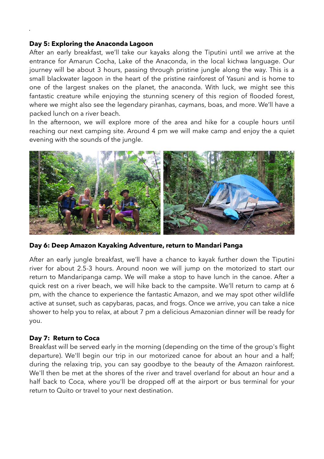#### **Day 5: Exploring the Anaconda Lagoon**

After an early breakfast, we'll take our kayaks along the Tiputini until we arrive at the entrance for Amarun Cocha, Lake of the Anaconda, in the local kichwa language. Our journey will be about 3 hours, passing through pristine jungle along the way. This is a small blackwater lagoon in the heart of the pristine rainforest of Yasuni and is home to one of the largest snakes on the planet, the anaconda. With luck, we might see this fantastic creature while enjoying the stunning scenery of this region of flooded forest, where we might also see the legendary piranhas, caymans, boas, and more. We'll have a packed lunch on a river beach.

In the afternoon, we will explore more of the area and hike for a couple hours until reaching our next camping site. Around 4 pm we will make camp and enjoy the a quiet evening with the sounds of the jungle.



**Day 6: Deep Amazon Kayaking Adventure, return to Mandari Panga**

After an early jungle breakfast, we'll have a chance to kayak further down the Tiputini river for about 2.5-3 hours. Around noon we will jump on the motorized to start our return to Mandaripanga camp. We will make a stop to have lunch in the canoe. After a quick rest on a river beach, we will hike back to the campsite. We'll return to camp at 6 pm, with the chance to experience the fantastic Amazon, and we may spot other wildlife active at sunset, such as capybaras, pacas, and frogs. Once we arrive, you can take a nice shower to help you to relax, at about 7 pm a delicious Amazonian dinner will be ready for you.

#### **Day 7: Return to Coca**

Breakfast will be served early in the morning (depending on the time of the group's flight departure). We'll begin our trip in our motorized canoe for about an hour and a half; during the relaxing trip, you can say goodbye to the beauty of the Amazon rainforest. We'll then be met at the shores of the river and travel overland for about an hour and a half back to Coca, where you'll be dropped off at the airport or bus terminal for your return to Quito or travel to your next destination.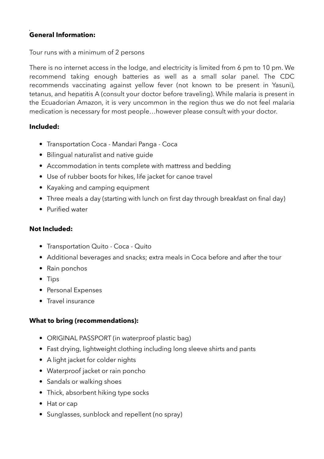## **General Information:**

### Tour runs with a minimum of 2 persons

There is no internet access in the lodge, and electricity is limited from 6 pm to 10 pm. We recommend taking enough batteries as well as a small solar panel. The CDC recommends vaccinating against yellow fever (not known to be present in Yasuni), tetanus, and hepatitis A (consult your doctor before traveling). While malaria is present in the Ecuadorian Amazon, it is very uncommon in the region thus we do not feel malaria medication is necessary for most people…however please consult with your doctor.

### **Included:**

- Transportation Coca Mandari Panga Coca
- Bilingual naturalist and native guide
- Accommodation in tents complete with mattress and bedding
- Use of rubber boots for hikes, life jacket for canoe travel
- Kayaking and camping equipment
- Three meals a day (starting with lunch on first day through breakfast on final day)
- Purified water

## **Not Included:**

- Transportation Quito Coca Quito
- Additional beverages and snacks; extra meals in Coca before and after the tour
- Rain ponchos
- Tips
- Personal Expenses
- Travel insurance

## **What to bring (recommendations):**

- ORIGINAL PASSPORT (in waterproof plastic bag)
- Fast drying, lightweight clothing including long sleeve shirts and pants
- A light jacket for colder nights
- Waterproof jacket or rain poncho
- Sandals or walking shoes
- Thick, absorbent hiking type socks
- Hat or cap
- Sunglasses, sunblock and repellent (no spray)